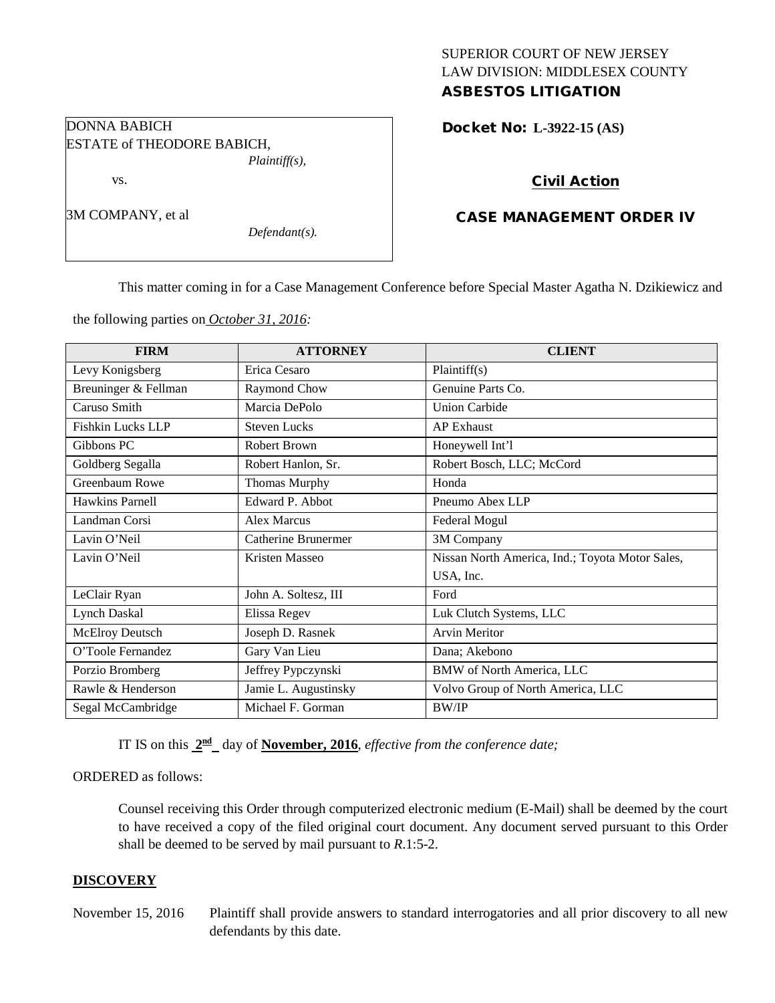## SUPERIOR COURT OF NEW JERSEY LAW DIVISION: MIDDLESEX COUNTY ASBESTOS LITIGATION

Docket No: **L-3922-15 (AS)** 

## Civil Action

## CASE MANAGEMENT ORDER IV

This matter coming in for a Case Management Conference before Special Master Agatha N. Dzikiewicz and

the following parties on *October 31, 2016:*

DONNA BABICH

vs.

3M COMPANY, et al

ESTATE of THEODORE BABICH,

*Plaintiff(s),*

*Defendant(s).*

| <b>FIRM</b>              | <b>ATTORNEY</b>      | <b>CLIENT</b>                                   |
|--------------------------|----------------------|-------------------------------------------------|
| Levy Konigsberg          | Erica Cesaro         | Plaintiff(s)                                    |
| Breuninger & Fellman     | Raymond Chow         | Genuine Parts Co.                               |
| Caruso Smith             | Marcia DePolo        | <b>Union Carbide</b>                            |
| <b>Fishkin Lucks LLP</b> | <b>Steven Lucks</b>  | <b>AP Exhaust</b>                               |
| Gibbons PC               | <b>Robert Brown</b>  | Honeywell Int'l                                 |
| Goldberg Segalla         | Robert Hanlon, Sr.   | Robert Bosch, LLC; McCord                       |
| Greenbaum Rowe           | <b>Thomas Murphy</b> | Honda                                           |
| Hawkins Parnell          | Edward P. Abbot      | Pneumo Abex LLP                                 |
| Landman Corsi            | <b>Alex Marcus</b>   | Federal Mogul                                   |
| Lavin O'Neil             | Catherine Brunermer  | 3M Company                                      |
| Lavin O'Neil             | Kristen Masseo       | Nissan North America, Ind.; Toyota Motor Sales, |
|                          |                      | USA, Inc.                                       |
| LeClair Ryan             | John A. Soltesz, III | Ford                                            |
| Lynch Daskal             | Elissa Regev         | Luk Clutch Systems, LLC                         |
| <b>McElroy Deutsch</b>   | Joseph D. Rasnek     | <b>Arvin Meritor</b>                            |
| O'Toole Fernandez        | Gary Van Lieu        | Dana; Akebono                                   |
| Porzio Bromberg          | Jeffrey Pypczynski   | <b>BMW</b> of North America, LLC                |
| Rawle & Henderson        | Jamie L. Augustinsky | Volvo Group of North America, LLC               |
| Segal McCambridge        | Michael F. Gorman    | <b>BW/IP</b>                                    |

IT IS on this **2nd** day of **November, 2016**, *effective from the conference date;*

ORDERED as follows:

Counsel receiving this Order through computerized electronic medium (E-Mail) shall be deemed by the court to have received a copy of the filed original court document. Any document served pursuant to this Order shall be deemed to be served by mail pursuant to *R*.1:5-2.

#### **DISCOVERY**

November 15, 2016 Plaintiff shall provide answers to standard interrogatories and all prior discovery to all new defendants by this date.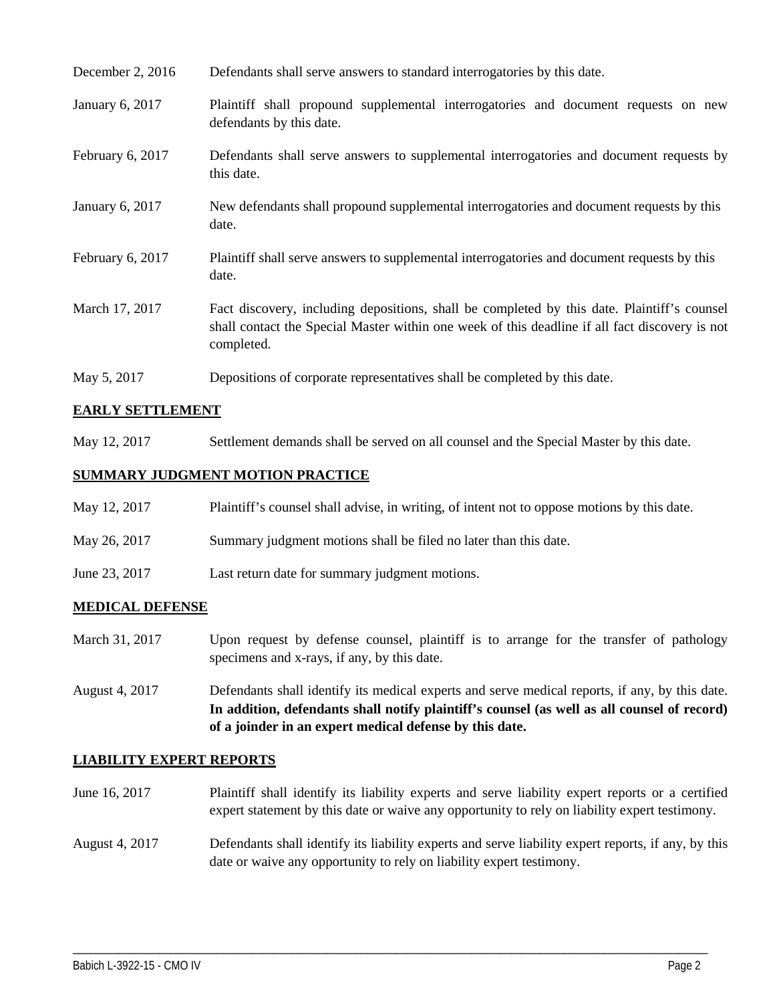| December 2, 2016 | Defendants shall serve answers to standard interrogatories by this date.                                                                                                                                    |
|------------------|-------------------------------------------------------------------------------------------------------------------------------------------------------------------------------------------------------------|
| January 6, 2017  | Plaintiff shall propound supplemental interrogatories and document requests on new<br>defendants by this date.                                                                                              |
| February 6, 2017 | Defendants shall serve answers to supplemental interrogatories and document requests by<br>this date.                                                                                                       |
| January 6, 2017  | New defendants shall propound supplemental interrogatories and document requests by this<br>date.                                                                                                           |
| February 6, 2017 | Plaintiff shall serve answers to supplemental interrogatories and document requests by this<br>date.                                                                                                        |
| March 17, 2017   | Fact discovery, including depositions, shall be completed by this date. Plaintiff's counsel<br>shall contact the Special Master within one week of this deadline if all fact discovery is not<br>completed. |
| May 5, 2017      | Depositions of corporate representatives shall be completed by this date.                                                                                                                                   |

# **EARLY SETTLEMENT**

May 12, 2017 Settlement demands shall be served on all counsel and the Special Master by this date.

## **SUMMARY JUDGMENT MOTION PRACTICE**

| May 12, 2017  | Plaintiff's counsel shall advise, in writing, of intent not to oppose motions by this date. |
|---------------|---------------------------------------------------------------------------------------------|
| May 26, 2017  | Summary judgment motions shall be filed no later than this date.                            |
| June 23, 2017 | Last return date for summary judgment motions.                                              |

## **MEDICAL DEFENSE**

- March 31, 2017 Upon request by defense counsel, plaintiff is to arrange for the transfer of pathology specimens and x-rays, if any, by this date.
- August 4, 2017 Defendants shall identify its medical experts and serve medical reports, if any, by this date. **In addition, defendants shall notify plaintiff's counsel (as well as all counsel of record) of a joinder in an expert medical defense by this date.**

#### **LIABILITY EXPERT REPORTS**

- June 16, 2017 Plaintiff shall identify its liability experts and serve liability expert reports or a certified expert statement by this date or waive any opportunity to rely on liability expert testimony.
- August 4, 2017 Defendants shall identify its liability experts and serve liability expert reports, if any, by this date or waive any opportunity to rely on liability expert testimony.

\_\_\_\_\_\_\_\_\_\_\_\_\_\_\_\_\_\_\_\_\_\_\_\_\_\_\_\_\_\_\_\_\_\_\_\_\_\_\_\_\_\_\_\_\_\_\_\_\_\_\_\_\_\_\_\_\_\_\_\_\_\_\_\_\_\_\_\_\_\_\_\_\_\_\_\_\_\_\_\_\_\_\_\_\_\_\_\_\_\_\_\_\_\_\_\_\_\_\_\_\_\_\_\_\_\_\_\_\_\_